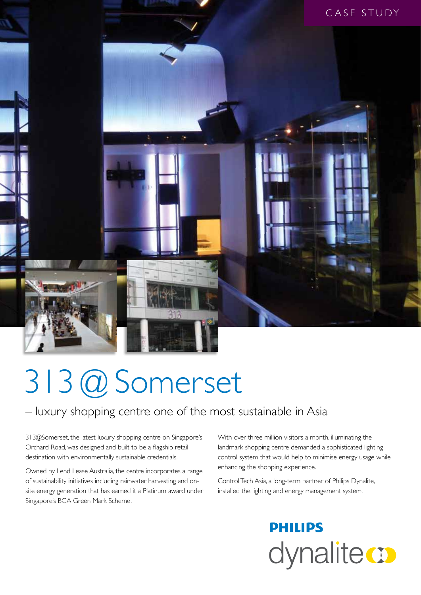

# 313 @ Somerset

### – luxury shopping centre one of the most sustainable in Asia

313@Somerset, the latest luxury shopping centre on Singapore's Orchard Road, was designed and built to be a flagship retail destination with environmentally sustainable credentials.

Owned by Lend Lease Australia, the centre incorporates a range of sustainability initiatives including rainwater harvesting and onsite energy generation that has earned it a Platinum award under Singapore's BCA Green Mark Scheme.

With over three million visitors a month, illuminating the landmark shopping centre demanded a sophisticated lighting control system that would help to minimise energy usage while enhancing the shopping experience.

Control Tech Asia, a long-term partner of Philips Dynalite, installed the lighting and energy management system.

## **PHILIPS** dynalite **o**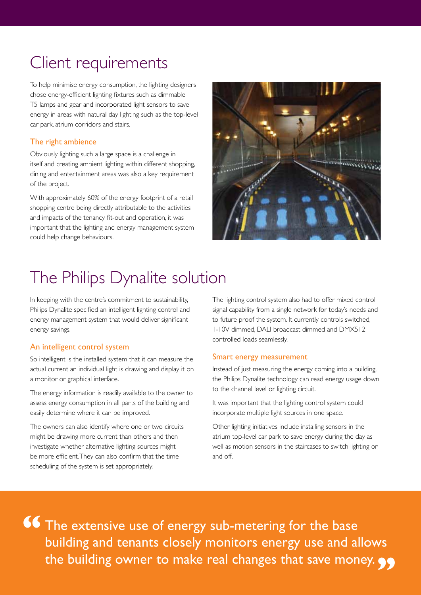### Client requirements

To help minimise energy consumption, the lighting designers chose energy-efficient lighting fixtures such as dimmable T5 lamps and gear and incorporated light sensors to save energy in areas with natural day lighting such as the top-level car park, atrium corridors and stairs.

#### The right ambience

Obviously lighting such a large space is a challenge in itself and creating ambient lighting within different shopping, dining and entertainment areas was also a key requirement of the project.

With approximately 60% of the energy footprint of a retail shopping centre being directly attributable to the activities and impacts of the tenancy fit-out and operation, it was important that the lighting and energy management system could help change behaviours.



### The Philips Dynalite solution

In keeping with the centre's commitment to sustainability, Philips Dynalite specified an intelligent lighting control and energy management system that would deliver significant energy savings.

#### An intelligent control system

So intelligent is the installed system that it can measure the actual current an individual light is drawing and display it on a monitor or graphical interface.

The energy information is readily available to the owner to assess energy consumption in all parts of the building and easily determine where it can be improved.

The owners can also identify where one or two circuits might be drawing more current than others and then investigate whether alternative lighting sources might be more efficient. They can also confirm that the time scheduling of the system is set appropriately.

The lighting control system also had to offer mixed control signal capability from a single network for today's needs and to future proof the system. It currently controls switched, 1-10V dimmed, DALI broadcast dimmed and DMX512 controlled loads seamlessly.

#### Smart energy measurement

Instead of just measuring the energy coming into a building, the Philips Dynalite technology can read energy usage down to the channel level or lighting circuit.

It was important that the lighting control system could incorporate multiple light sources in one space.

Other lighting initiatives include installing sensors in the atrium top-level car park to save energy during the day as well as motion sensors in the staircases to switch lighting on and off.

The extensive use of energy sub-metering for the base building and tenants closely monitors energy use and allows the building owner to make real changes that save money. **99 "**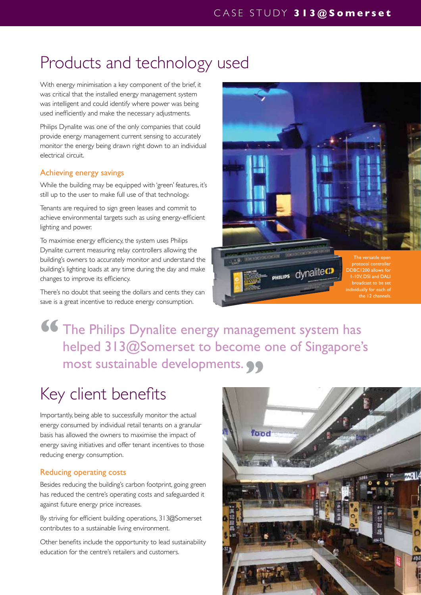### Products and technology used

With energy minimisation a key component of the brief, it was critical that the installed energy management system was intelligent and could identify where power was being used inefficiently and make the necessary adjustments.

Philips Dynalite was one of the only companies that could provide energy management current sensing to accurately monitor the energy being drawn right down to an individual electrical circuit.

#### Achieving energy savings

While the building may be equipped with 'green' features, it's still up to the user to make full use of that technology.

Tenants are required to sign green leases and commit to achieve environmental targets such as using energy-efficient lighting and power.

To maximise energy efficiency, the system uses Philips Dynalite current measuring relay controllers allowing the building's owners to accurately monitor and understand the building's lighting loads at any time during the day and make changes to improve its efficiency.

There's no doubt that seeing the dollars and cents they can save is a great incentive to reduce energy consumption.



### The Philips Dynalite energy management system has helped 313@Somerset to become one of Singapore's most sustainable developments. 99 **"**

### Key client benefits

Importantly, being able to successfully monitor the actual energy consumed by individual retail tenants on a granular basis has allowed the owners to maximise the impact of energy saving initiatives and offer tenant incentives to those reducing energy consumption.

#### Reducing operating costs

Besides reducing the building's carbon footprint, going green has reduced the centre's operating costs and safeguarded it against future energy price increases.

By striving for efficient building operations, 313@Somerset contributes to a sustainable living environment.

Other benefits include the opportunity to lead sustainability education for the centre's retailers and customers.